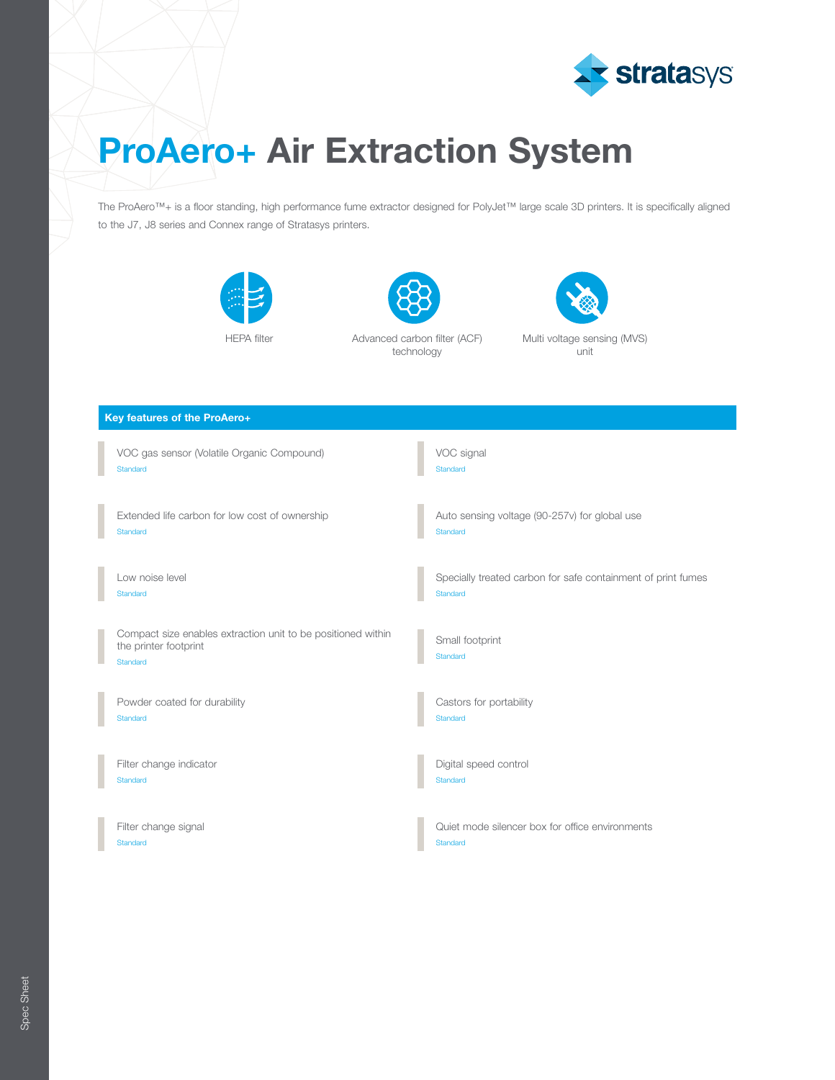

# ProAero+ Air Extraction System

The ProAero™+ is a floor standing, high performance fume extractor designed for PolyJet™ large scale 3D printers. It is specifically aligned to the J7, J8 series and Connex range of Stratasys printers.





HEPA filter **Advanced carbon filter (ACF)** technology



| Key features of the ProAero+                                                                      |                                                              |  |
|---------------------------------------------------------------------------------------------------|--------------------------------------------------------------|--|
| VOC gas sensor (Volatile Organic Compound)                                                        | VOC signal                                                   |  |
| Standard                                                                                          | Standard                                                     |  |
| Extended life carbon for low cost of ownership                                                    | Auto sensing voltage (90-257v) for global use                |  |
| Standard                                                                                          | Standard                                                     |  |
| Low noise level                                                                                   | Specially treated carbon for safe containment of print fumes |  |
| Standard                                                                                          | Standard                                                     |  |
| Compact size enables extraction unit to be positioned within<br>the printer footprint<br>Standard | Small footprint<br>Standard                                  |  |
| Powder coated for durability                                                                      | Castors for portability                                      |  |
| Standard                                                                                          | Standard                                                     |  |
| Filter change indicator                                                                           | Digital speed control                                        |  |
| Standard                                                                                          | Standard                                                     |  |
| Filter change signal                                                                              | Quiet mode silencer box for office environments              |  |
| Standard                                                                                          | Standard                                                     |  |

Spec Sheet Spec Sheet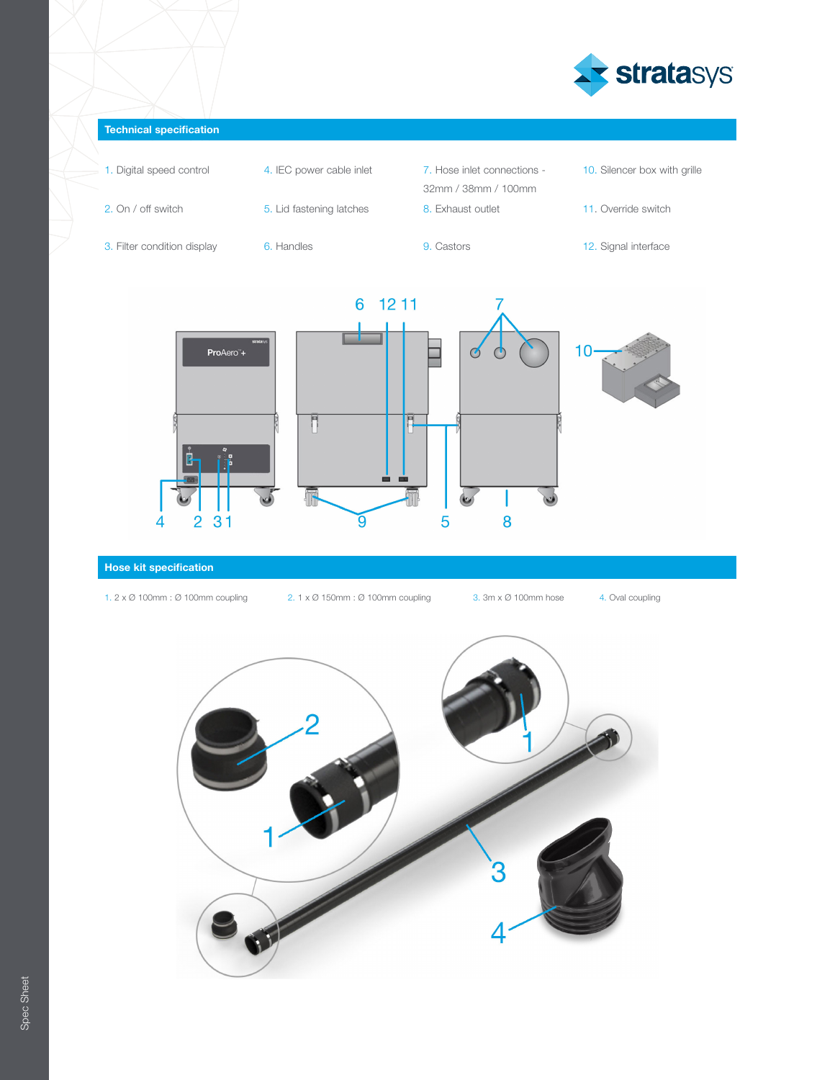

## Technical specification

- 1. Digital speed control **4.** IEC power cable inlet **7.** Hose inlet connections -
	-
- 2. On / off switch 5. Lid fastening latches 8. Exhaust outlet 11. Override switch
- 3. Filter condition display 6. Handles 9. Castors 12. Signal interface
	-
- 

32mm / 38mm / 100mm

- 10. Silencer box with grille
- 
- 



## Hose kit specification

- 
- 1. 2 x Ø 100mm : Ø 100mm coupling 2. 1 x Ø 150mm : Ø 100mm coupling 3. 3m x Ø 100mm hose 4. Oval coupling
	-
-